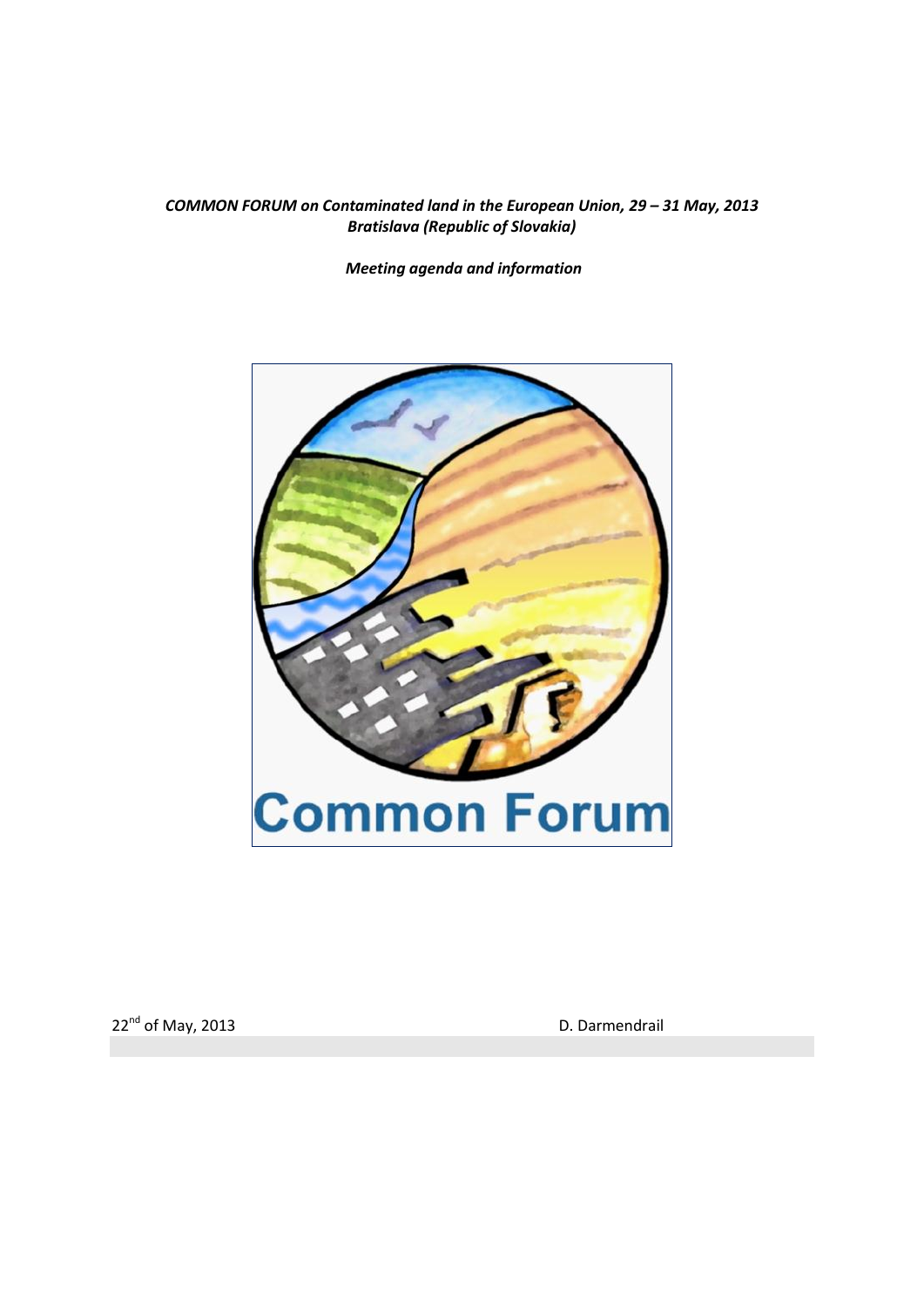### **COMMON FORUM on Contaminated land in the European Union, 29 – 31 May, 2013** *Bratislava (Republic of Slovakia)*

*Meeting agenda and information*



22<sup>nd</sup> of May, 2013 **D. Darmendrail**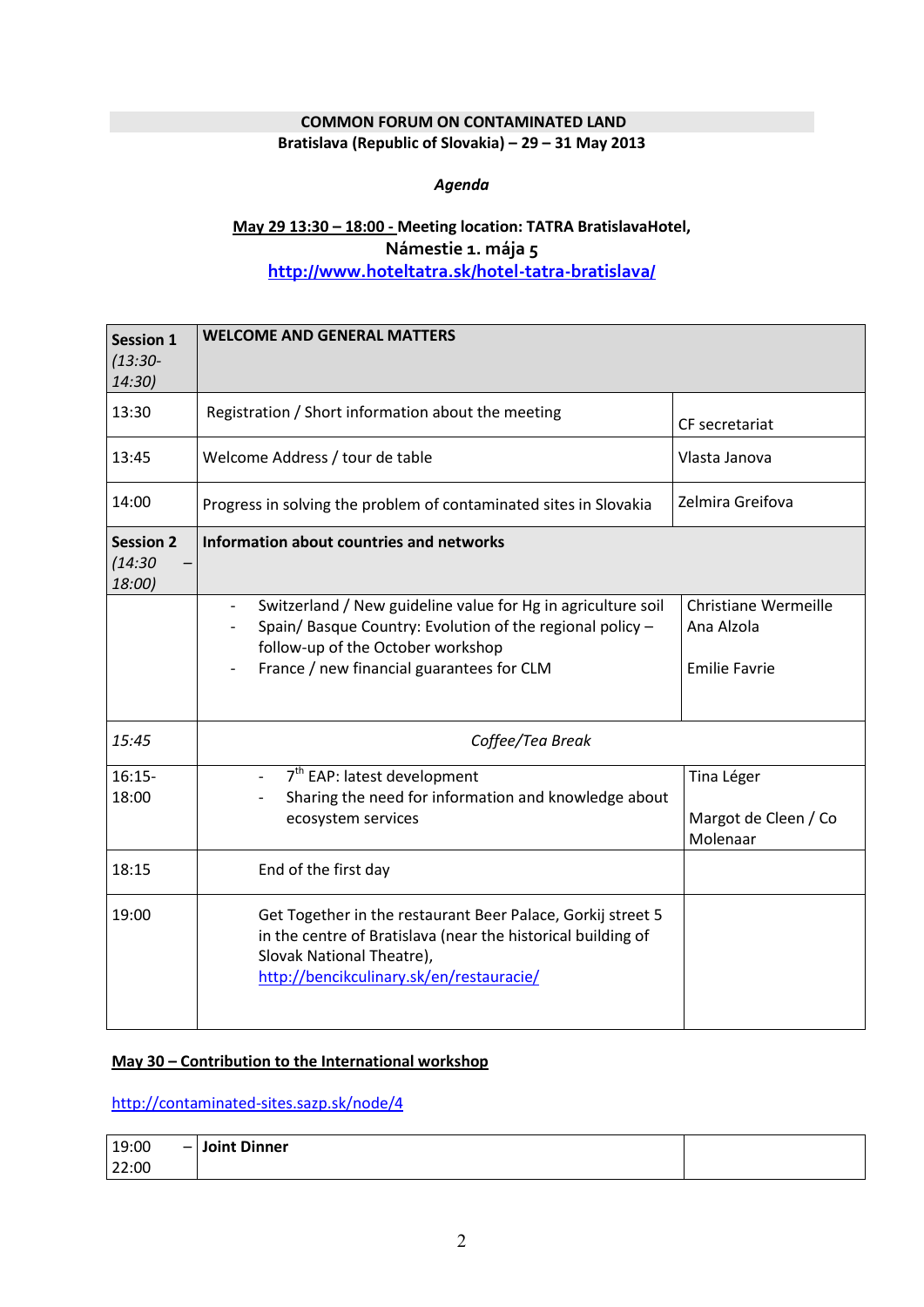## **COMMON FORUM ON CONTAMINATED LAND**

#### **Bratislava (Republic of Slovakia) – 29 – 31 May 2013**

### *Agenda*

# **May 29 13:30 – 18:00 - Meeting location: TATRA BratislavaHotel, Námestie 1. mája 5 <http://www.hoteltatra.sk/hotel-tatra-bratislava/>**

| <b>Session 1</b>                      | <b>WELCOME AND GENERAL MATTERS</b>                                                                                                                                                                                                      |                                                                   |  |
|---------------------------------------|-----------------------------------------------------------------------------------------------------------------------------------------------------------------------------------------------------------------------------------------|-------------------------------------------------------------------|--|
| $(13:30 -$<br>14:30)                  |                                                                                                                                                                                                                                         |                                                                   |  |
| 13:30                                 | Registration / Short information about the meeting                                                                                                                                                                                      | CF secretariat                                                    |  |
| 13:45                                 | Welcome Address / tour de table                                                                                                                                                                                                         | Vlasta Janova                                                     |  |
| 14:00                                 | Progress in solving the problem of contaminated sites in Slovakia                                                                                                                                                                       | Zelmira Greifova                                                  |  |
| <b>Session 2</b><br>(14:30)<br>18:00) | Information about countries and networks                                                                                                                                                                                                |                                                                   |  |
|                                       | Switzerland / New guideline value for Hg in agriculture soil<br>$\overline{\phantom{0}}$<br>Spain/ Basque Country: Evolution of the regional policy -<br>follow-up of the October workshop<br>France / new financial guarantees for CLM | <b>Christiane Wermeille</b><br>Ana Alzola<br><b>Emilie Favrie</b> |  |
| 15:45                                 | Coffee/Tea Break                                                                                                                                                                                                                        |                                                                   |  |
| $16:15-$<br>18:00                     | 7 <sup>th</sup> EAP: latest development<br>$\overline{\phantom{0}}$<br>Sharing the need for information and knowledge about<br>ecosystem services                                                                                       | Tina Léger<br>Margot de Cleen / Co<br>Molenaar                    |  |
| 18:15                                 | End of the first day                                                                                                                                                                                                                    |                                                                   |  |
| 19:00                                 | Get Together in the restaurant Beer Palace, Gorkij street 5<br>in the centre of Bratislava (near the historical building of<br>Slovak National Theatre),<br>http://bencikculinary.sk/en/restauracie/                                    |                                                                   |  |

### **May 30 – Contribution to the International workshop**

<http://contaminated-sites.sazp.sk/node/4>

| 19:00 | - Joint Dinner |  |
|-------|----------------|--|
| 22:00 |                |  |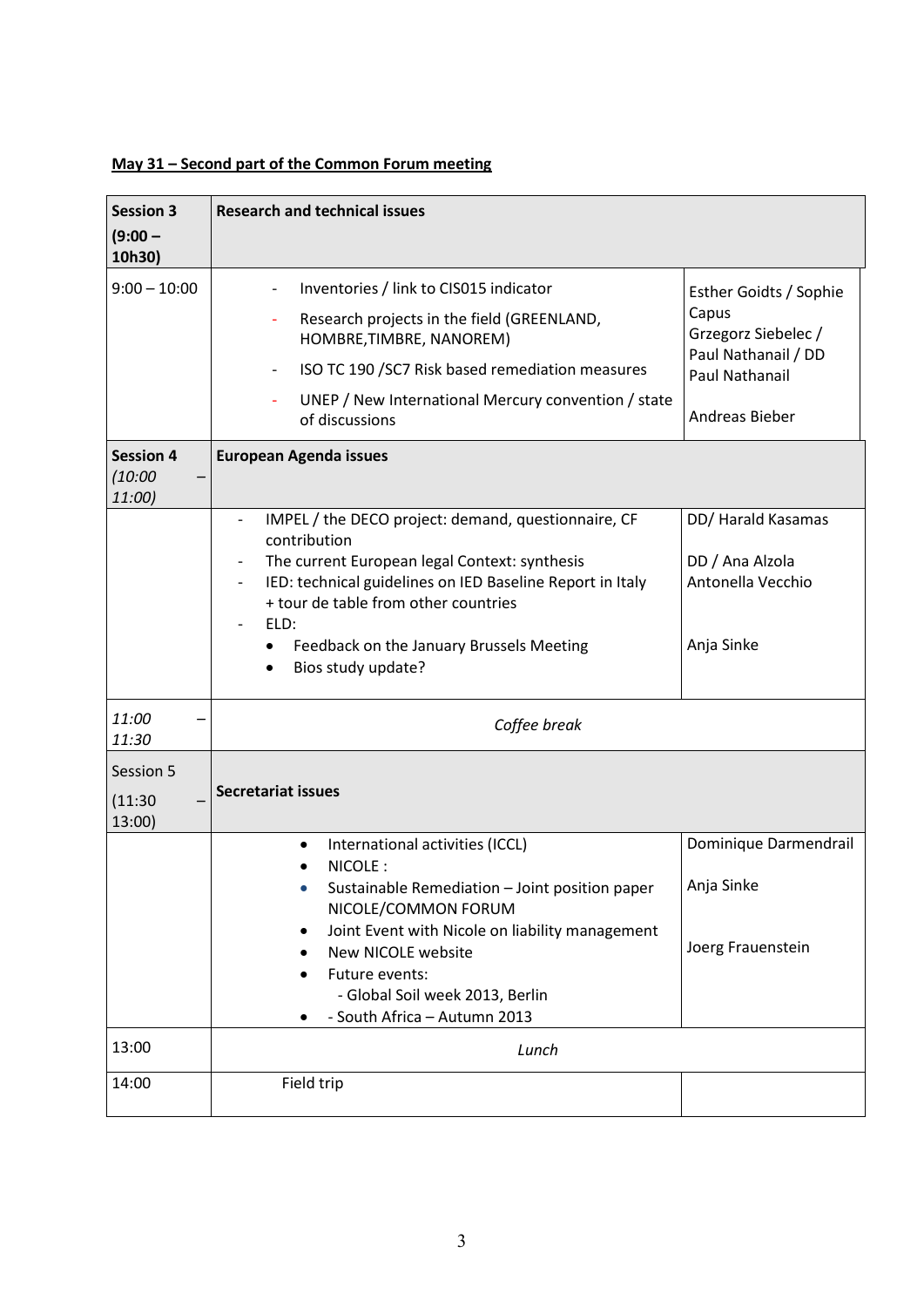# **May 31 – Second part of the Common Forum meeting**

| <b>Session 3</b>                      | <b>Research and technical issues</b>                                                                                                                                                                                                                                                                                                                                          |                                                                                                                          |
|---------------------------------------|-------------------------------------------------------------------------------------------------------------------------------------------------------------------------------------------------------------------------------------------------------------------------------------------------------------------------------------------------------------------------------|--------------------------------------------------------------------------------------------------------------------------|
| $(9:00 -$<br>10h30)                   |                                                                                                                                                                                                                                                                                                                                                                               |                                                                                                                          |
| $9:00 - 10:00$                        | Inventories / link to CIS015 indicator<br>Research projects in the field (GREENLAND,<br>HOMBRE, TIMBRE, NANOREM)<br>ISO TC 190 /SC7 Risk based remediation measures<br>UNEP / New International Mercury convention / state<br>of discussions                                                                                                                                  | Esther Goidts / Sophie<br>Capus<br>Grzegorz Siebelec /<br>Paul Nathanail / DD<br>Paul Nathanail<br><b>Andreas Bieber</b> |
| <b>Session 4</b><br>(10:00)<br>11:00) | <b>European Agenda issues</b>                                                                                                                                                                                                                                                                                                                                                 |                                                                                                                          |
|                                       | IMPEL / the DECO project: demand, questionnaire, CF<br>contribution<br>The current European legal Context: synthesis<br>$\overline{\phantom{a}}$<br>IED: technical guidelines on IED Baseline Report in Italy<br>$\overline{\phantom{a}}$<br>+ tour de table from other countries<br>ELD:<br>Feedback on the January Brussels Meeting<br>٠<br>Bios study update?<br>$\bullet$ | DD/ Harald Kasamas<br>DD / Ana Alzola<br>Antonella Vecchio<br>Anja Sinke                                                 |
| 11:00<br>11:30                        | Coffee break                                                                                                                                                                                                                                                                                                                                                                  |                                                                                                                          |
| Session 5<br>(11:30)<br>13:00         | <b>Secretariat issues</b>                                                                                                                                                                                                                                                                                                                                                     |                                                                                                                          |
|                                       | International activities (ICCL)<br>٠<br>NICOLE:<br>Sustainable Remediation - Joint position paper<br>NICOLE/COMMON FORUM<br>Joint Event with Nicole on liability management<br>New NICOLE website<br>Future events:<br>- Global Soil week 2013, Berlin<br>- South Africa - Autumn 2013                                                                                        | Dominique Darmendrail<br>Anja Sinke<br>Joerg Frauenstein                                                                 |
| 13:00                                 | Lunch                                                                                                                                                                                                                                                                                                                                                                         |                                                                                                                          |
| 14:00                                 | Field trip                                                                                                                                                                                                                                                                                                                                                                    |                                                                                                                          |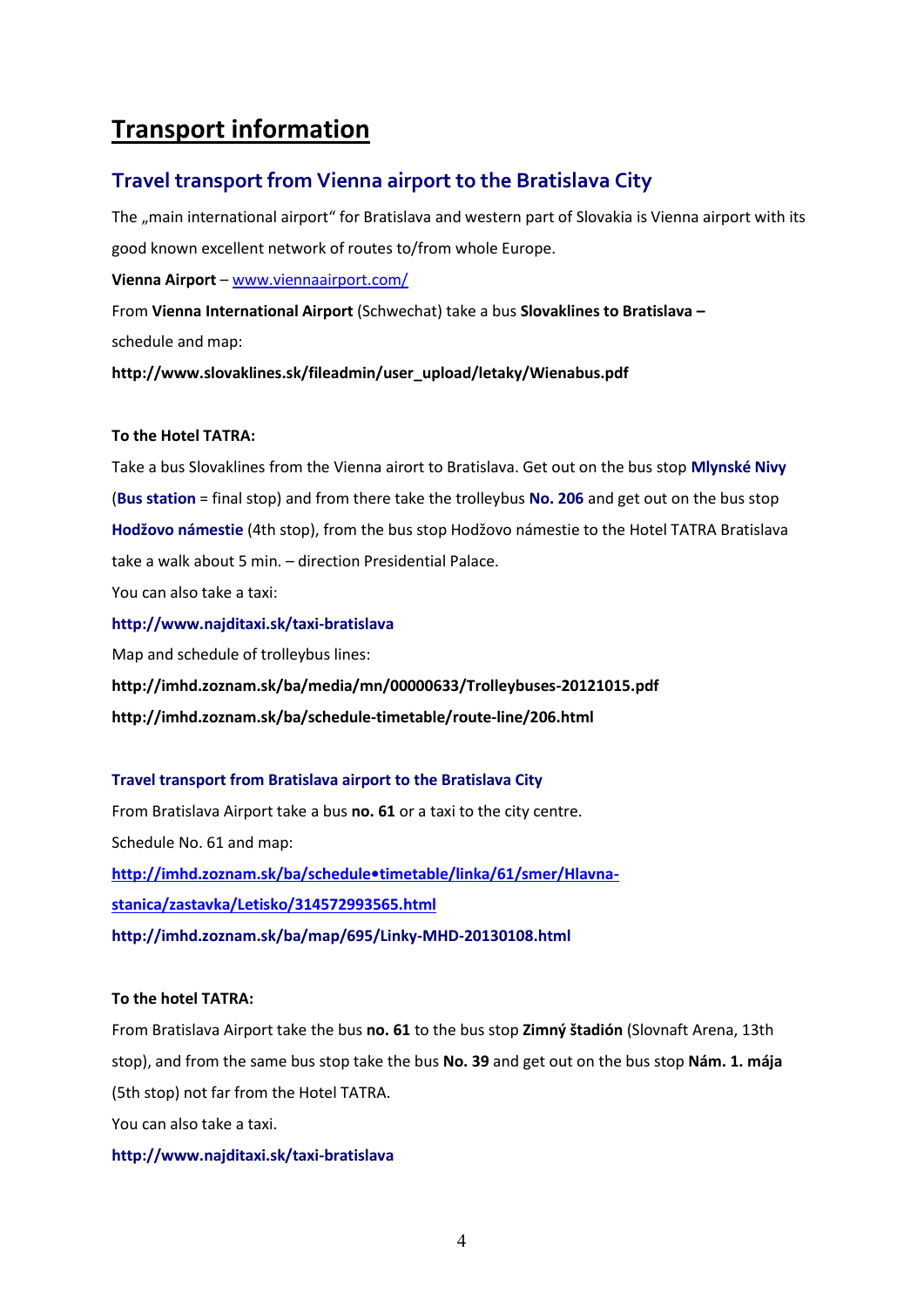# **Transport information**

# **Travel transport from Vienna airport to the Bratislava City**

The "main international airport" for Bratislava and western part of Slovakia is Vienna airport with its good known excellent network of routes to/from whole Europe.

**Vienna Airport** – [www.viennaairport.com/](http://www.viennaairport.com/)

From **Vienna International Airport** (Schwechat) take a bus **Slovaklines to Bratislava –** schedule and map:

**http://www.slovaklines.sk/fileadmin/user\_upload/letaky/Wienabus.pdf**

### **To the Hotel TATRA:**

Take a bus Slovaklines from the Vienna airort to Bratislava. Get out on the bus stop **Mlynské Nivy**  (**Bus station** = final stop) and from there take the trolleybus **No. 206** and get out on the bus stop **Hodžovo námestie** (4th stop), from the bus stop Hodžovo námestie to the Hotel TATRA Bratislava take a walk about 5 min. – direction Presidential Palace.

You can also take a taxi:

**http://www.najditaxi.sk/taxi-bratislava**

Map and schedule of trolleybus lines:

**http://imhd.zoznam.sk/ba/media/mn/00000633/Trolleybuses-20121015.pdf http://imhd.zoznam.sk/ba/schedule-timetable/route-line/206.html**

### **Travel transport from Bratislava airport to the Bratislava City**

From Bratislava Airport take a bus **no. 61** or a taxi to the city centre. Schedule No. 61 and map: **[http://imhd.zoznam.sk/ba/schedule•timetable/linka/61/smer/Hlavna](http://imhd.zoznam.sk/ba/schedule-timetable/linka/61/smer/Hlavna-stanica/zastavka/Letisko/314572993565.html)[stanica/zastavka/Letisko/314572993565.html](http://imhd.zoznam.sk/ba/schedule-timetable/linka/61/smer/Hlavna-stanica/zastavka/Letisko/314572993565.html) http://imhd.zoznam.sk/ba/map/695/Linky-MHD-20130108.html**

#### **To the hotel TATRA:**

From Bratislava Airport take the bus **no. 61** to the bus stop **Zimný štadión** (Slovnaft Arena, 13th stop), and from the same bus stop take the bus **No. 39** and get out on the bus stop **Nám. 1. mája** (5th stop) not far from the Hotel TATRA. You can also take a taxi.

#### **http://www.najditaxi.sk/taxi-bratislava**